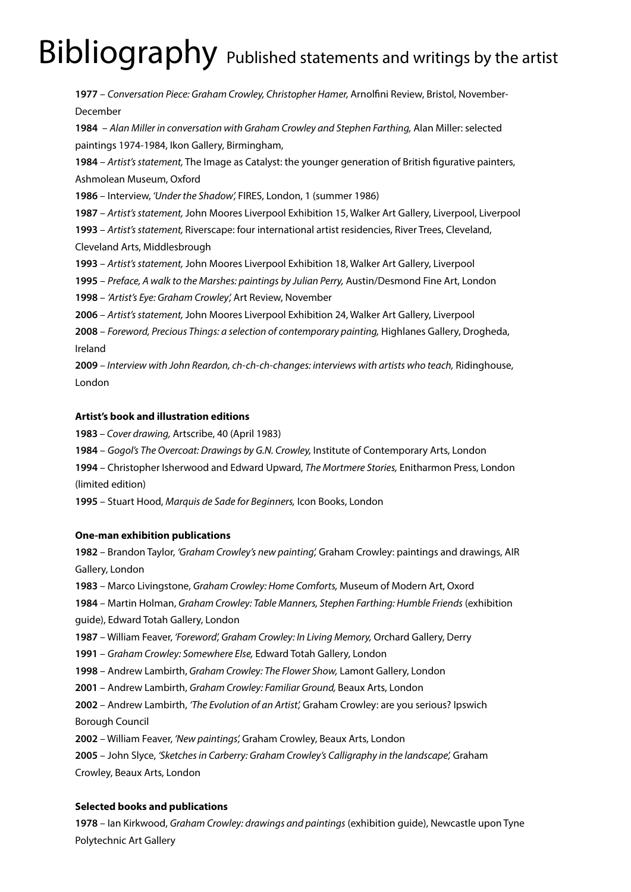# Bibliography Published statements and writings by the artist

 – *Conversation Piece: Graham Crowley, Christopher Hamer,* Arnolfini Review, Bristol, November-December – *Alan Miller in conversation with Graham Crowley and Stephen Farthing,* Alan Miller: selected paintings 1974-1984, Ikon Gallery, Birmingham, – *Artist's statement,* The Image as Catalyst: the younger generation of British figurative painters, Ashmolean Museum, Oxford – Interview, *'Under the Shadow',* FIRES, London, 1 (summer 1986) – *Artist's statement,* John Moores Liverpool Exhibition 15, Walker Art Gallery, Liverpool, Liverpool – *Artist's statement,* Riverscape: four international artist residencies, River Trees, Cleveland, Cleveland Arts, Middlesbrough – *Artist's statement,* John Moores Liverpool Exhibition 18, Walker Art Gallery, Liverpool – *Preface, A walk to the Marshes: paintings by Julian Perry,* Austin/Desmond Fine Art, London – *'Artist's Eye: Graham Crowley',* Art Review, November – *Artist's statement,* John Moores Liverpool Exhibition 24, Walker Art Gallery, Liverpool – *Foreword, Precious Things: a selection of contemporary painting,* Highlanes Gallery, Drogheda, Ireland – *Interview with John Reardon, ch-ch-ch-changes: interviews with artists who teach,* Ridinghouse, London

## **Artist's book and illustration editions**

 *– Cover drawing,* Artscribe, 40 (April 1983)

– *Gogol's The Overcoat: Drawings by G.N. Crowley,* Institute of Contemporary Arts, London

 – Christopher Isherwood and Edward Upward, *The Mortmere Stories,* Enitharmon Press, London (limited edition)

– Stuart Hood, *Marquis de Sade for Beginners,* Icon Books, London

#### **One-man exhibition publications**

 – Brandon Taylor, *'Graham Crowley's new painting',* Graham Crowley: paintings and drawings, AIR Gallery, London

– Marco Livingstone, *Graham Crowley: Home Comforts,* Museum of Modern Art, Oxord

– Martin Holman, *Graham Crowley: Table Manners, Stephen Farthing: Humble Friends* (exhibition guide), Edward Totah Gallery, London

– William Feaver, *'Foreword', Graham Crowley: In Living Memory,* Orchard Gallery, Derry

– *Graham Crowley: Somewhere Else,* Edward Totah Gallery, London

– Andrew Lambirth, *Graham Crowley: The Flower Show,* Lamont Gallery, London

– Andrew Lambirth, *Graham Crowley: Familiar Ground,* Beaux Arts, London

– Andrew Lambirth, *'The Evolution of an Artist',* Graham Crowley: are you serious? Ipswich Borough Council

– William Feaver, *'New paintings',* Graham Crowley, Beaux Arts, London

 – John Slyce, *'Sketches in Carberry: Graham Crowley's Calligraphy in the landscape',* Graham Crowley, Beaux Arts, London

## **Selected books and publications**

 – Ian Kirkwood, *Graham Crowley: drawings and paintings* (exhibition guide), Newcastle upon Tyne Polytechnic Art Gallery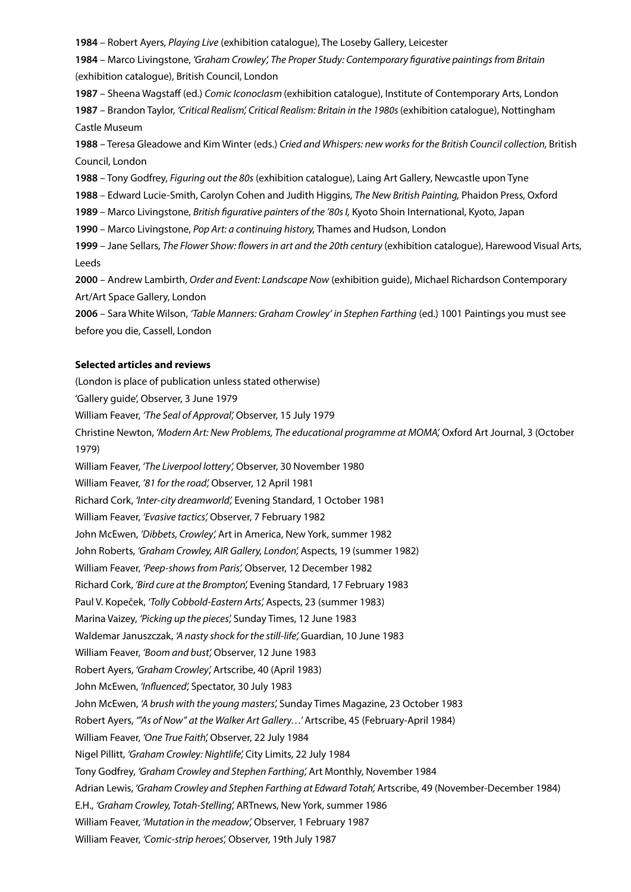**1984** – Robert Ayers, *Playing Live* (exhibition catalogue), The Loseby Gallery, Leicester

**1984** – Marco Livingstone, *'Graham Crowley', The Proper Study: Contemporary figurative paintings from Britain* (exhibition catalogue), British Council, London

**1987** – Sheena Wagstaff (ed.) *Comic Iconoclasm* (exhibition catalogue), Institute of Contemporary Arts, London **1987** – Brandon Taylor, *'Critical Realism', Critical Realism: Britain in the 1980s* (exhibition catalogue), Nottingham Castle Museum

**1988** – Teresa Gleadowe and Kim Winter (eds.) *Cried and Whispers: new works for the British Council collection,* British Council, London

**1988** – Tony Godfrey, *Figuring out the 80s* (exhibition catalogue), Laing Art Gallery, Newcastle upon Tyne

**1988** – Edward Lucie-Smith, Carolyn Cohen and Judith Higgins, *The New British Painting,* Phaidon Press, Oxford

**1989** – Marco Livingstone, *British figurative painters of the '80s I,* Kyoto Shoin International, Kyoto, Japan

**1990** – Marco Livingstone, *Pop Art: a continuing history,* Thames and Hudson, London

**1999** – Jane Sellars, *The Flower Show: flowers in art and the 20th century* (exhibition catalogue), Harewood Visual Arts, Leeds

**2000** – Andrew Lambirth, *Order and Event: Landscape Now* (exhibition guide), Michael Richardson Contemporary Art/Art Space Gallery, London

**2006** – Sara White Wilson, *'Table Manners: Graham Crowley' in Stephen Farthing* (ed.) 1001 Paintings you must see before you die, Cassell, London

### **Selected articles and reviews**

(London is place of publication unless stated otherwise)

'Gallery guide', Observer, 3 June 1979

William Feaver, *'The Seal of Approval',* Observer, 15 July 1979

Christine Newton, *'Modern Art: New Problems, The educational programme at MOMA',* Oxford Art Journal, 3 (October 1979)

William Feaver, *'The Liverpool lottery',* Observer, 30 November 1980

William Feaver, *'81 for the road',* Observer, 12 April 1981

Richard Cork, *'Inter-city dreamworld',* Evening Standard, 1 October 1981

William Feaver, *'Evasive tactics',* Observer, 7 February 1982

John McEwen, *'Dibbets, Crowley',* Art in America, New York, summer 1982

John Roberts, *'Graham Crowley, AIR Gallery, London',* Aspects, 19 (summer 1982)

William Feaver, *'Peep-shows from Paris',* Observer, 12 December 1982

Richard Cork, *'Bird cure at the Brompton',* Evening Standard, 17 February 1983

Paul V. Kopeček, *'Tolly Cobbold-Eastern Arts',* Aspects, 23 (summer 1983)

Marina Vaizey, *'Picking up the pieces',* Sunday Times, 12 June 1983

Waldemar Januszczak, *'A nasty shock for the still-life',* Guardian, 10 June 1983

William Feaver, *'Boom and bust',* Observer, 12 June 1983

Robert Ayers, *'Graham Crowley',* Artscribe, 40 (April 1983)

John McEwen, *'Influenced',* Spectator, 30 July 1983

John McEwen, *'A brush with the young masters',* Sunday Times Magazine, 23 October 1983

Robert Ayers, *'"As of Now" at the Walker Art Gallery…'* Artscribe, 45 (February-April 1984)

William Feaver, *'One True Faith',* Observer, 22 July 1984

Nigel Pillitt, *'Graham Crowley: Nightlife',* City Limits, 22 July 1984

Tony Godfrey, *'Graham Crowley and Stephen Farthing',* Art Monthly, November 1984

Adrian Lewis, *'Graham Crowley and Stephen Farthing at Edward Totah',* Artscribe, 49 (November-December 1984)

E.H., *'Graham Crowley, Totah-Stelling',* ARTnews, New York, summer 1986

William Feaver, *'Mutation in the meadow',* Observer, 1 February 1987

William Feaver, *'Comic-strip heroes',* Observer, 19th July 1987